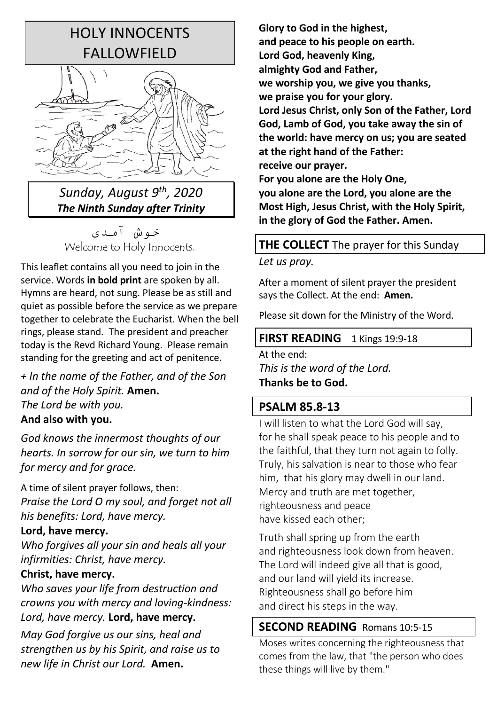# HOLY INNOCENTS FALLOWFIELD



# *Sunday, August 9th, 2020 The Ninth Sunday after Trinity*

خه ش آمدی Welcome to Holy Innocents.

This leaflet contains all you need to join in the service. Words **in bold print** are spoken by all. Hymns are heard, not sung. Please be as still and quiet as possible before the service as we prepare together to celebrate the Eucharist. When the bell rings, please stand. The president and preacher today is the Revd Richard Young. Please remain standing for the greeting and act of penitence.

*+ In the name of the Father, and of the Son and of the Holy Spirit.* **Amen.** *The Lord be with you.*

## **And also with you.**

*God knows the innermost thoughts of our hearts. In sorrow for our sin, we turn to him for mercy and for grace.* 

A time of silent prayer follows, then: *Praise the Lord O my soul, and forget not all his benefits: Lord, have mercy.*

## **Lord, have mercy.**

*Who forgives all your sin and heals all your infirmities: Christ, have mercy.*

## **Christ, have mercy.**

*Who saves your life from destruction and crowns you with mercy and loving-kindness: Lord, have mercy.* **Lord, have mercy.**

*May God forgive us our sins, heal and strengthen us by his Spirit, and raise us to new life in Christ our Lord.* **Amen.**

**Glory to God in the highest, and peace to his people on earth. Lord God, heavenly King, almighty God and Father, we worship you, we give you thanks, we praise you for your glory. Lord Jesus Christ, only Son of the Father, Lord God, Lamb of God, you take away the sin of the world: have mercy on us; you are seated at the right hand of the Father: receive our prayer.** 

**For you alone are the Holy One, you alone are the Lord, you alone are the Most High, Jesus Christ, with the Holy Spirit, in the glory of God the Father. Amen.**

## **THE COLLECT** The prayer for this Sunday

## *Let us pray.*

After a moment of silent prayer the president says the Collect. At the end: **Amen.**

Please sit down for the Ministry of the Word.

## **FIRST READING** 1 Kings 19:9-18

At the end: *This is the word of the Lord.* **Thanks be to God.**

# **PSALM 85.8-13**

I will listen to what the Lord God will say, for he shall speak peace to his people and to the faithful, that they turn not again to folly. Truly, his salvation is near to those who fear him, that his glory may dwell in our land. Mercy and truth are met together, righteousness and peace have kissed each other;

Truth shall spring up from the earth and righteousness look down from heaven. The Lord will indeed give all that is good, and our land will yield its increase. Righteousness shall go before him and direct his steps in the way.

# **SECOND READING** Romans 10:5-15

Moses writes concerning the righteousness that comes from the law, that "the person who does these things will live by them."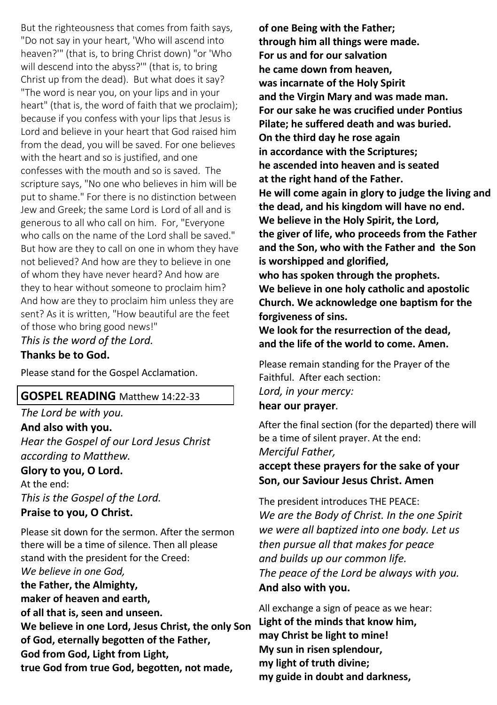But the righteousness that comes from faith says, "Do not say in your heart, 'Who will ascend into heaven?'" (that is, to bring Christ down) "or 'Who will descend into the abyss?'" (that is, to bring Christ up from the dead). But what does it say? "The word is near you, on your lips and in your heart" (that is, the word of faith that we proclaim); because if you confess with your lips that Jesus is Lord and believe in your heart that God raised him from the dead, you will be saved. For one believes with the heart and so is justified, and one confesses with the mouth and so is saved. The scripture says, "No one who believes in him will be put to shame." For there is no distinction between Jew and Greek; the same Lord is Lord of all and is generous to all who call on him. For, "Everyone who calls on the name of the Lord shall be saved." But how are they to call on one in whom they have not believed? And how are they to believe in one of whom they have never heard? And how are they to hear without someone to proclaim him? And how are they to proclaim him unless they are sent? As it is written, "How beautiful are the feet of those who bring good news!"

*This is the word of the Lord.* **Thanks be to God.**

Please stand for the Gospel Acclamation.

## **GOSPEL READING** Matthew 14:22-33

*The Lord be with you.* **And also with you.** *Hear the Gospel of our Lord Jesus Christ according to Matthew.*

**Glory to you, O Lord.** At the end:

*This is the Gospel of the Lord.* **Praise to you, O Christ.**

Please sit down for the sermon. After the sermon there will be a time of silence. Then all please stand with the president for the Creed:

*We believe in one God,*  **the Father, the Almighty, maker of heaven and earth, of all that is, seen and unseen. We believe in one Lord, Jesus Christ, the only Son of God, eternally begotten of the Father, God from God, Light from Light, true God from true God, begotten, not made,** 

**of one Being with the Father; through him all things were made. For us and for our salvation he came down from heaven, was incarnate of the Holy Spirit and the Virgin Mary and was made man. For our sake he was crucified under Pontius Pilate; he suffered death and was buried. On the third day he rose again in accordance with the Scriptures; he ascended into heaven and is seated at the right hand of the Father. He will come again in glory to judge the living and the dead, and his kingdom will have no end. We believe in the Holy Spirit, the Lord, the giver of life, who proceeds from the Father and the Son, who with the Father and the Son is worshipped and glorified, who has spoken through the prophets. We believe in one holy catholic and apostolic Church. We acknowledge one baptism for the forgiveness of sins. We look for the resurrection of the dead,** 

**and the life of the world to come. Amen.**

Please remain standing for the Prayer of the Faithful. After each section: *Lord, in your mercy:* 

**hear our prayer***.* 

After the final section (for the departed) there will be a time of silent prayer. At the end: *Merciful Father,*

**accept these prayers for the sake of your Son, our Saviour Jesus Christ. Amen**

The president introduces THE PEACE: *We are the Body of Christ. In the one Spirit we were all baptized into one body. Let us then pursue all that makes for peace and builds up our common life. The peace of the Lord be always with you.*  **And also with you.**

All exchange a sign of peace as we hear: **Light of the minds that know him, may Christ be light to mine! My sun in risen splendour, my light of truth divine; my guide in doubt and darkness,**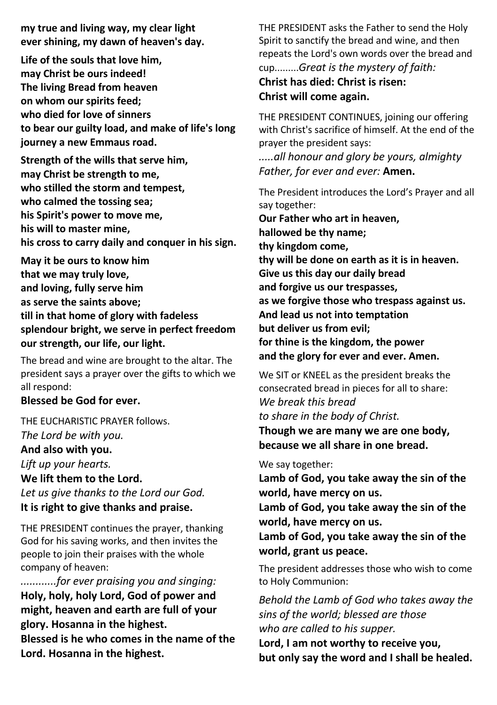**my true and living way, my clear light ever shining, my dawn of heaven's day.**

**Life of the souls that love him, may Christ be ours indeed! The living Bread from heaven on whom our spirits feed; who died for love of sinners to bear our guilty load, and make of life's long journey a new Emmaus road.**

**Strength of the wills that serve him, may Christ be strength to me, who stilled the storm and tempest, who calmed the tossing sea; his Spirit's power to move me, his will to master mine, his cross to carry daily and conquer in his sign.**

**May it be ours to know him that we may truly love, and loving, fully serve him as serve the saints above; till in that home of glory with fadeless splendour bright, we serve in perfect freedom our strength, our life, our light.**

The bread and wine are brought to the altar. The president says a prayer over the gifts to which we all respond:

## **Blessed be God for ever.**

THE EUCHARISTIC PRAYER follows. *The Lord be with you.*

**And also with you.**

*Lift up your hearts.* **We lift them to the Lord.** *Let us give thanks to the Lord our God.* **It is right to give thanks and praise.**

THE PRESIDENT continues the prayer, thanking God for his saving works, and then invites the people to join their praises with the whole company of heaven:

*............for ever praising you and singing:*  **Holy, holy, holy Lord, God of power and might, heaven and earth are full of your glory. Hosanna in the highest.** 

**Blessed is he who comes in the name of the Lord. Hosanna in the highest.**

THE PRESIDENT asks the Father to send the Holy Spirit to sanctify the bread and wine, and then repeats the Lord's own words over the bread and cup.........*Great is the mystery of faith:*

## **Christ has died: Christ is risen: Christ will come again.**

THE PRESIDENT CONTINUES, joining our offering with Christ's sacrifice of himself. At the end of the prayer the president says:

*.....all honour and glory be yours, almighty Father, for ever and ever:* **Amen.**

The President introduces the Lord's Prayer and all say together:

**Our Father who art in heaven, hallowed be thy name; thy kingdom come, thy will be done on earth as it is in heaven. Give us this day our daily bread and forgive us our trespasses, as we forgive those who trespass against us. And lead us not into temptation but deliver us from evil; for thine is the kingdom, the power and the glory for ever and ever. Amen.** 

We SIT or KNEEL as the president breaks the consecrated bread in pieces for all to share: *We break this bread to share in the body of Christ.* **Though we are many we are one body,** 

**because we all share in one bread.**

We say together:

**Lamb of God, you take away the sin of the world, have mercy on us.**

**Lamb of God, you take away the sin of the world, have mercy on us.**

**Lamb of God, you take away the sin of the world, grant us peace.**

The president addresses those who wish to come to Holy Communion:

*Behold the Lamb of God who takes away the sins of the world; blessed are those who are called to his supper.* 

**Lord, I am not worthy to receive you, but only say the word and I shall be healed.**